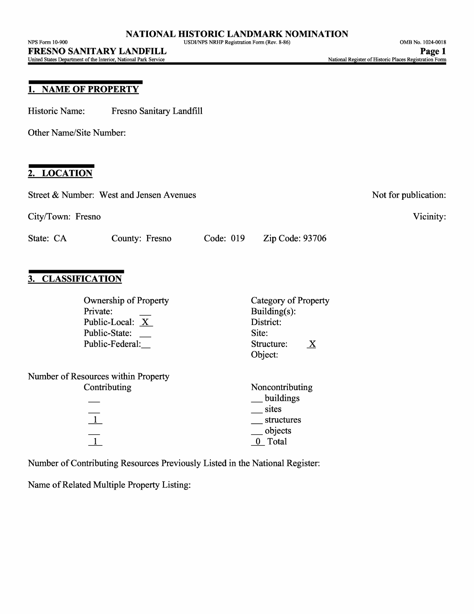## **1. NAME OF PROPERTY**

Historic Name: Fresno Sanitary Landfill

Other Name/Site Number:

## **2. LOCATION**

| Street & Number: West and Jensen Avenues                                                        |                  | Not for publication:                                                                |
|-------------------------------------------------------------------------------------------------|------------------|-------------------------------------------------------------------------------------|
| City/Town: Fresno                                                                               |                  | Vicinity:                                                                           |
| State: CA<br>County: Fresno                                                                     | Code: 019        | Zip Code: 93706                                                                     |
| <b>CLASSIFICATION</b>                                                                           |                  |                                                                                     |
| <b>Ownership of Property</b><br>Private:<br>Public-Local: X<br>Public-State:<br>Public-Federal: | Site:<br>Object: | Category of Property<br>Building $(s)$ :<br>District:<br>Structure:<br>$\mathbf{X}$ |
| Number of Resources within Property<br>Contributing<br>$\perp$<br>$\overline{1}$                |                  | Noncontributing<br>buildings<br>sites<br>structures<br>objects<br>0 Total           |
| Number of Contributing Resources Previously Listed in the National Register:                    |                  |                                                                                     |

Name of Related Multiple Property Listing: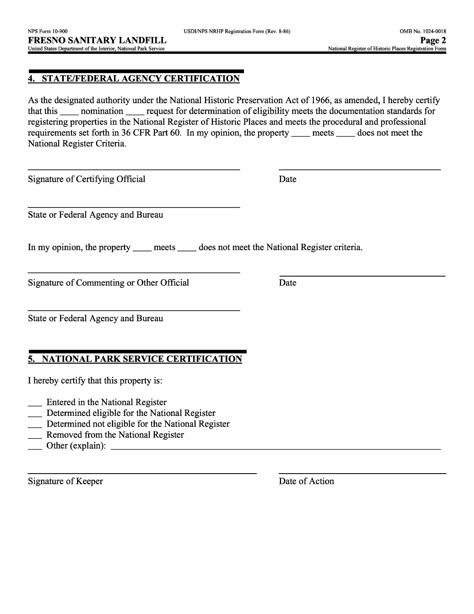### **4. STATE/FEDERAL AGENCY CERTIFICATION**

As the designated authority under the National Historic Preservation Act of 1966, as amended, I hereby certify that this \_\_ nomination \_\_ request for determination of eligibility meets the documentation standards for registering properties in the National Register of Historic Places and meets the procedural and professional requirements set forth in 36 CFR Part 60. In my opinion, the property meets does not meet the National Register Criteria.

Signature of Certifying Official Date

State or Federal Agency and Bureau

In my opinion, the property \_\_\_\_\_ meets \_\_\_\_\_ does not meet the National Register criteria.

Signature of Commenting or Other Official Date

State or Federal Agency and Bureau

## **5. NATIONAL PARK SERVICE CERTIFICATION**

I hereby certify that this property is:

- Entered in the National Register
- Determined eligible for the National Register
- Determined not eligible for the National Register
- **EXECUTE:** Removed from the National Register
- $\Box$  Other (explain):

Signature of Keeper Date of Action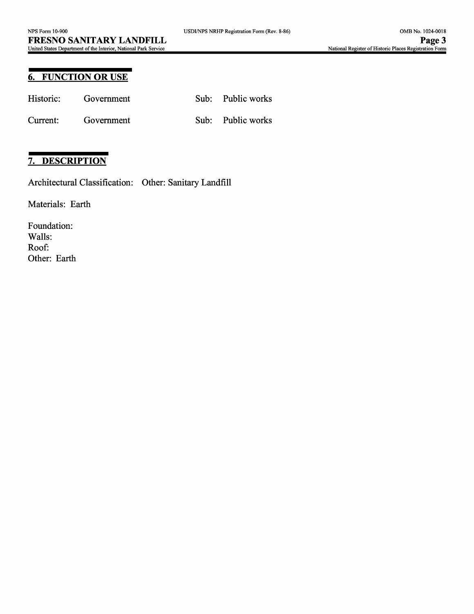## **6. FUNCTION OR USE**

| Historic: | Government | Sub: Public works |
|-----------|------------|-------------------|
| Current:  | Government | Sub: Public works |

# **7. DESCRIPTION**

Architectural Classification: Other: Sanitary Landfill

Materials: Earth

Foundation: Walls: Roof: Other: Earth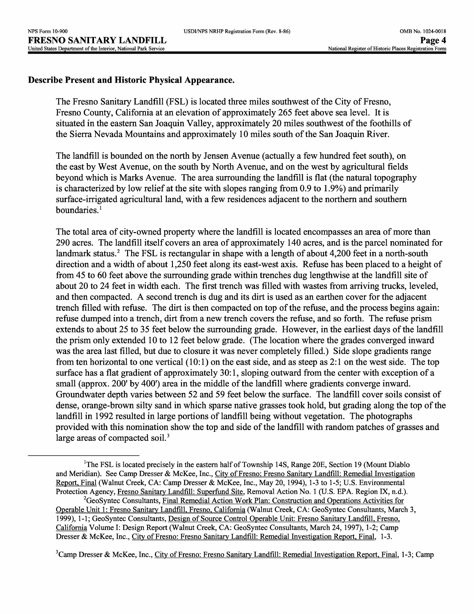### **Describe Present and Historic Physical Appearance.**

The Fresno Sanitary Landfill (FSL) is located three miles southwest of the City of Fresno, Fresno County, California at an elevation of approximately 265 feet above sea level. It is situated in the eastern San Joaquin Valley, approximately 20 miles southwest of the foothills of the Sierra Nevada Mountains and approximately 10 miles south of the San Joaquin River.

The landfill is bounded on the north by Jensen Avenue (actually a few hundred feet south), on the east by West Avenue, on the south by North Avenue, and on the west by agricultural fields beyond which is Marks Avenue. The area surrounding the landfill is flat (the natural topography is characterized by low relief at the site with slopes ranging from 0.9 to 1.9%) and primarily surface-irrigated agricultural land, with a few residences adjacent to the northern and southern boundaries. $<sup>1</sup>$ </sup>

The total area of city-owned property where the landfill is located encompasses an area of more than 290 acres. The landfill itself covers an area of approximately 140 acres, and is the parcel nominated for landmark status.<sup>2</sup> The FSL is rectangular in shape with a length of about 4,200 feet in a north-south direction and a width of about 1,250 feet along its east-west axis. Refuse has been placed to a height of from 45 to 60 feet above the surrounding grade within trenches dug lengthwise at the landfill site of about 20 to 24 feet in width each. The first trench was filled with wastes from arriving trucks, leveled, and then compacted. A second trench is dug and its dirt is used as an earthen cover for the adjacent trench filled with refuse. The dirt is then compacted on top of the refuse, and the process begins again: refuse dumped into a trench, dirt from a new trench covers the refuse, and so forth. The refuse prism extends to about 25 to 35 feet below the surrounding grade. However, in the earliest days of the landfill the prism only extended 10 to 12 feet below grade. (The location where the grades converged inward was the area last filled, but due to closure it was never completely filled.) Side slope gradients range from ten horizontal to one vertical (10:1) on the east side, and as steep as 2:1 on the west side. The top surface has a flat gradient of approximately 30:1, sloping outward from the center with exception of a small (approx. 200' by 400') area in the middle of the landfill where gradients converge inward. Groundwater depth varies between 52 and 59 feet below the surface. The landfill cover soils consist of dense, orange-brown silty sand in which sparse native grasses took hold, but grading along the top of the landfill in 1992 resulted in large portions of landfill being without vegetation. The photographs provided with this nomination show the top and side of the landfill with random patches of grasses and large areas of compacted soil.<sup>3</sup>

<sup>&</sup>lt;sup>1</sup>The FSL is located precisely in the eastern half of Township 14S, Range 20E, Section 19 (Mount Diablo and Meridian). See Camp Dresser & McKee, Inc., City of Fresno: Fresno Sanitary Landfill: Remedial Investigation Report. Final (Walnut Creek, CA: Camp Dresser & McKee, Inc., May 20, 1994), 1-3 to 1-5; U.S. Environmental Protection Agency, Fresno Sanitary Landfill: Superfund Site, Removal Action No. 1 (U.S. EPA. Region IX, n.d.).

<sup>&</sup>lt;sup>2</sup>GeoSyntec Consultants, Final Remedial Action Work Plan: Construction and Operations Activities for Operable Unit 1: Fresno Sanitary Landfill. Fresno. California (Walnut Creek, CA: GeoSyntec Consultants, March 3, 1999), 1-1; GeoSyntec Consultants, Design of Source Control Operable Unit: Fresno Sanitary Landfill, Fresno, California Volume I: Design Report (Walnut Creek, CA: GeoSyntec Consultants, March 24, 1997), 1-2; Camp Dresser & McKee, Inc., City of Fresno: Fresno Sanitary Landfill: Remedial Investigation Report, Final, 1-3.

<sup>&</sup>lt;sup>3</sup>Camp Dresser & McKee, Inc., City of Fresno: Fresno Sanitary Landfill: Remedial Investigation Report, Final, 1-3; Camp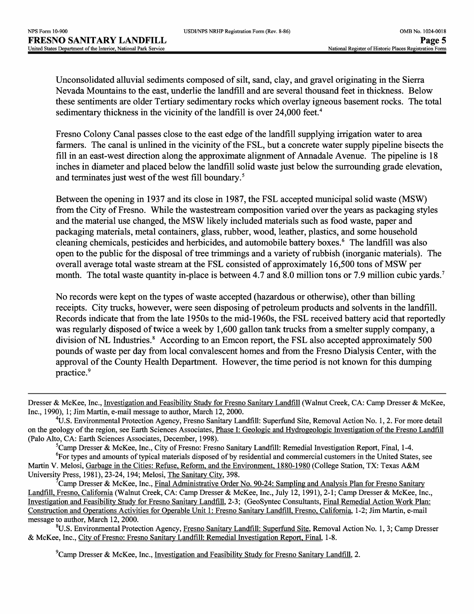Unconsolidated alluvial sediments composed of silt, sand, clay, and gravel originating in the Sierra Nevada Mountains to the east, underlie the landfill and are several thousand feet in thickness. Below these sentiments are older Tertiary sedimentary rocks which overlay igneous basement rocks. The total sedimentary thickness in the vicinity of the landfill is over 24,000 feet.<sup>4</sup>

Fresno Colony Canal passes close to the east edge of the landfill supplying irrigation water to area farmers. The canal is unlined in the vicinity of the FSL, but a concrete water supply pipeline bisects the fill in an east-west direction along the approximate alignment of Annadale Avenue. The pipeline is 18 inches in diameter and placed below the landfill solid waste just below the surrounding grade elevation, and terminates just west of the west fill boundary.<sup>5</sup>

Between the opening in 1937 and its close in 1987, the FSL accepted municipal solid waste (MSW) from the City of Fresno. While the wastestream composition varied over the years as packaging styles and the material use changed, the MSW likely included materials such as food waste, paper and packaging materials, metal containers, glass, rubber, wood, leather, plastics, and some household cleaning chemicals, pesticides and herbicides, and automobile battery boxes. 6 The landfill was also open to the public for the disposal of tree trimmings and a variety of rubbish (inorganic materials). The overall average total waste stream at the FSL consisted of approximately 16,500 tons of MSW per month. The total waste quantity in-place is between 4.7 and 8.0 million tons or 7.9 million cubic yards.<sup>7</sup>

No records were kept on the types of waste accepted (hazardous or otherwise), other than billing receipts. City trucks, however, were seen disposing of petroleum products and solvents in the landfill. Records indicate that from the late 1950s to the mid-1960s, the FSL received battery acid that reportedly was regularly disposed of twice a week by 1,600 gallon tank trucks from a smelter supply company, a division of NL Industries.<sup>8</sup> According to an Emcon report, the FSL also accepted approximately 500 pounds of waste per day from local convalescent homes and from the Fresno Dialysis Center, with the approval of the County Health Department. However, the time period is not known for this dumping practice.<sup>9</sup>

<sup>5</sup>Camp Dresser & McKee, Inc., City of Fresno: Fresno Sanitary Landfill: Remedial Investigation Report, Final, 1-4.

8U.S. Environmental Protection Agency, Fresno Sanitary Landfill: Superfund Site. Removal Action No. 1,3; Camp Dresser & McKee, Inc., City of Fresno: Fresno Sanitary Landfill: Remedial Investigation Report, Final, 1-8.

<sup>9</sup>Camp Dresser & McKee, Inc., Investigation and Feasibility Study for Fresno Sanitary Landfill, 2.

Dresser & McKee, Inc., Investigation and Feasibility Study for Fresno Sanitary Landfill (Walnut Creek, CA: Camp Dresser & McKee, Inc., 1990), 1; Jim Martin, e-mail message to author, March 12, 2000.

<sup>4</sup>U.S. Environmental Protection Agency, Fresno Sanitary Landfill: Superfund Site, Removal Action No. 1, 2. For more detail on the geology of the region, see Earth Sciences Associates, Phase I: Geologic and Hydrogeologic Investigation of the Fresno Landfill (Palo Alto, CA: Earth Sciences Associates, December, 1998).

<sup>&</sup>lt;sup>6</sup>For types and amounts of typical materials disposed of by residential and commercial customers in the United States, see Martin V. Melosi, Garbage in the Cities: Refuse, Reform, and the Environment, 1880-1980 (College Station, TX: Texas A&M University Press, 1981), 23-24, 194; Melosi, The Sanitary City. 398.

<sup>7</sup>Camp Dresser & McKee, Inc., Final Administrative Order No. 90-24: Sampling and Analysis Plan for Fresno Sanitary Landfill, Fresno, California (Walnut Creek, CA: Camp Dresser & McKee, Inc., July 12, 1991), 2-1; Camp Dresser & McKee, Inc., Investigation and Feasibility Study for Fresno Sanitary Landfill, 2-3; (GeoSyntec Consultants, Final Remedial Action Work Plan: Construction and Operations Activities for Operable Unit 1: Fresno Sanitary Landfill, Fresno, California, 1-2; Jim Martin, e-mail message to author, March 12, 2000.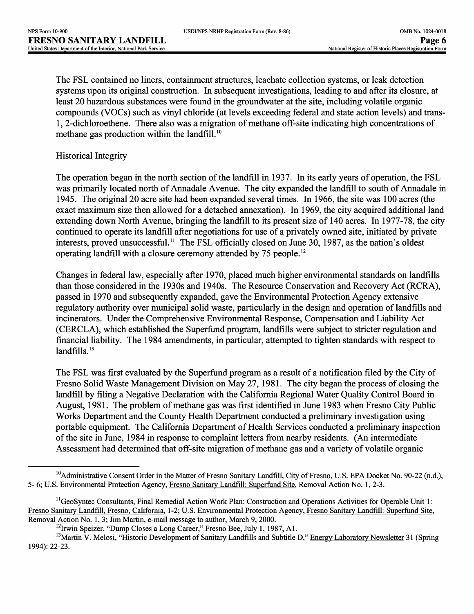The FSL contained no liners, containment structures, leachate collection systems, or leak detection systems upon its original construction. In subsequent investigations, leading to and after its closure, at least 20 hazardous substances were found in the groundwater at the site, including volatile organic compounds (VOCs) such as vinyl chloride (at levels exceeding federal and state action levels) and trans-1, 2-dichloroethene. There also was a migration of methane off-site indicating high concentrations of methane gas production within the landfill.<sup>10</sup>

### Historical Integrity

The operation began in the north section of the landfill in 1937. In its early years of operation, the FSL was primarily located north of Annadale Avenue. The city expanded the landfill to south of Annadale in 1945. The original 20 acre site had been expanded several times. In 1966, the site was 100 acres (the exact maximum size then allowed for a detached annexation). In 1969, the city acquired additional land extending down North Avenue, bringing the landfill to its present size of 140 acres. In 1977-78, the city continued to operate its landfill after negotiations for use of a privately owned site, initiated by private interests, proved unsuccessful.<sup>11</sup> The FSL officially closed on June 30, 1987, as the nation's oldest operating landfill with a closure ceremony attended by 75 people. <sup>12</sup>

Changes in federal law, especially after 1970, placed much higher environmental standards on landfills than those considered in the 1930s and 1940s. The Resource Conservation and Recovery Act (RCRA), passed in 1970 and subsequently expanded, gave the Environmental Protection Agency extensive regulatory authority over municipal solid waste, particularly in the design and operation of landfills and incinerators. Under the Comprehensive Environmental Response, Compensation and Liability Act (CERCLA), which established the Superfund program, landfills were subject to stricter regulation and financial liability. The 1984 amendments, in particular, attempted to tighten standards with respect to landfills.<sup>13</sup>

The FSL was first evaluated by the Superfund program as a result of a notification filed by the City of Fresno Solid Waste Management Division on May 27, 1981. The city began the process of closing the landfill by filing a Negative Declaration with the California Regional Water Quality Control Board in August, 1981. The problem of methane gas was first identified in June 1983 when Fresno City Public Works Department and the County Health Department conducted a preliminary investigation using portable equipment. The California Department of Health Services conducted a preliminary inspection of the site in June, 1984 in response to complaint letters from nearby residents. (An intermediate Assessment had determined that off-site migration of methane gas and a variety of volatile organic

<sup>&</sup>lt;sup>10</sup>Administrative Consent Order in the Matter of Fresno Sanitary Landfill, City of Fresno, U.S. EPA Docket No. 90-22 (n.d.), 5- 6; U.S. Environmental Protection Agency, Fresno Sanitary Landfill: Superfund Site, Removal Action No. 1, 2-3.

 $11$ GeoSyntec Consultants, Final Remedial Action Work Plan: Construction and Operations Activities for Operable Unit 1: Fresno Sanitary Landfill, Fresno, California, 1-2; U.S. Environmental Protection Agency, Fresno Sanitary Landfill: Superfund Site, Removal Action No. 1,3; Jim Martin, e-mail message to author, March 9, 2000.

<sup>&</sup>lt;sup>12</sup>Irwin Speizer, "Dump Closes a Long Career," Fresno Bee, July 1, 1987, A1.

<sup>&</sup>lt;sup>13</sup>Martin V. Melosi, "Historic Development of Sanitary Landfills and Subtitle D," Energy Laboratory Newsletter 31 (Spring 1994): 22-23.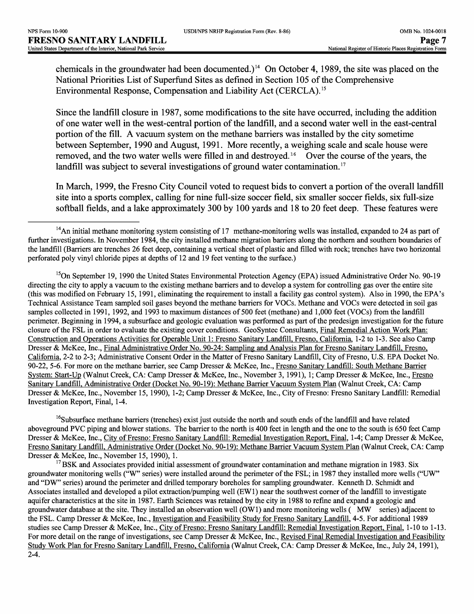chemicals in the groundwater had been documented.)<sup>14</sup> On October 4, 1989, the site was placed on the National Priorities List of Superfund Sites as defined in Section 105 of the Comprehensive Environmental Response, Compensation and Liability Act (CERCLA). <sup>15</sup>

Since the landfill closure in 1987, some modifications to the site have occurred, including the addition of one water well in the west-central portion of the landfill, and a second water well in the east-central portion of the fill. A vacuum system on the methane barriers was installed by the city sometime between September, 1990 and August, 1991. More recently, a weighing scale and scale house were removed, and the two water wells were filled in and destroyed.<sup>16</sup> Over the course of the years, the landfill was subject to several investigations of ground water contamination.<sup>17</sup>

In March, 1999, the Fresno City Council voted to request bids to convert a portion of the overall landfill site into a sports complex, calling for nine full-size soccer field, six smaller soccer fields, six full-size softball fields, and a lake approximately 300 by 100 yards and 18 to 20 feet deep. These features were

<sup>15</sup>On September 19, 1990 the United States Environmental Protection Agency (EPA) issued Administrative Order No. 90-19 directing the city to apply a vacuum to the existing methane barriers and to develop a system for controlling gas over the entire site (this was modified on February 15, 1991, eliminating the requirement to install a facility gas control system). Also in 1990, the EPA's Technical Assistance Team sampled soil gases beyond the methane barriers for VOCs. Methane and VOCs were detected in soil gas samples collected in 1991, 1992, and 1993 to maximum distances of 500 feet (methane) and 1,000 feet (VOCs) from the landfill perimeter. Beginning in 1994, a subsurface and geologic evaluation was performed as part of the predesign investigation for the future closure of the FSL in order to evaluate the existing cover conditions. GeoSyntec Consultants, Final Remedial Action Work Plan: Construction and Operations Activities for Operable Unit 1: Fresno Sanitary Landfill Fresno. California. 1-2 to 1-3. See also Camp Dresser & McKee, Inc., Final Administrative Order No. 90-24: Sampling and Analysis Plan for Fresno Sanitary Landfill. Fresno. California. 2-2 to 2-3; Administrative Consent Order in the Matter of Fresno Sanitary Landfill, City of Fresno, U.S. EPA Docket No. 90-22, 5-6. For more on the methane barrier, see Camp Dresser & McKee, Inc., Fresno Sanitary Landfill: South Methane Barrier System: Start-Up (Walnut Creek, CA: Camp Dresser & McKee, Inc., November 3, 1991), 1; Camp Dresser & McKee, Inc., Fresno Sanitary Landfill, Administrative Order (Docket No. 90-19): Methane Barrier Vacuum System Plan (Walnut Creek, CA: Camp Dresser & McKee, Inc., November 15, 1990), 1-2; Camp Dresser & McKee, Inc., City of Fresno: Fresno Sanitary Landfill: Remedial Investigation Report, Final, 1-4.

<sup>16</sup>Subsurface methane barriers (trenches) exist just outside the north and south ends of the landfill and have related aboveground PVC piping and blower stations. The barrier to the north is 400 feet in length and the one to the south is 650 feet Camp Dresser & McKee, Inc., City of Fresno: Fresno Sanitary Landfill: Remedial Investigation Report, Final. 1-4; Camp Dresser & McKee, Fresno Sanitary Landfill. Administrative Order (Docket No. 90-19): Methane Barrier Vacuum System Plan (Walnut Creek, CA: Camp Dresser & McKee, Inc., November 15, 1990), 1.

 $17$  BSK and Associates provided initial assessment of groundwater contamination and methane migration in 1983. Six groundwater monitoring wells ("W" series) were installed around the perimeter of the FSL; in 1987 they installed more wells ("UW" and "DW" series) around the perimeter and drilled temporary boreholes for sampling groundwater. Kenneth D. Schmidt and Associates installed and developed a pilot extraction/pumping well (EW1) near the southwest corner of the landfill to investigate aquifer characteristics at the site in 1987. Earth Sciences was retained by the city in 1988 to refine and expand a geologic and groundwater database at the site. They installed an observation well (OW1) and more monitoring wells ( MW series) adjacent to the FSL. Camp Dresser & McKee, Inc., Investigation and Feasibility Study for Fresno Sanitary Landfill. 4-5. For additional 1989 studies see Camp Dresser & McKee, Inc., City of Fresno: Fresno Sanitary Landfill: Remedial Investigation Report. Final. 1-10 to 1-13. For more detail on the range of investigations, see Camp Dresser & McKee, Inc., Revised Final Remedial Investigation and Feasibility Study Work Plan for Fresno Sanitary Landfill, Fresno, California (Walnut Creek, CA: Camp Dresser & McKee, Inc., July 24, 1991), 2-4.

 $14$ An initial methane monitoring system consisting of 17 methane-monitoring wells was installed, expanded to 24 as part of further investigations. In November 1984, the city installed methane migration barriers along the northern and southern boundaries of the landfill (Barriers are trenches 26 feet deep, containing a vertical sheet of plastic and filled with rock; trenches have two horizontal perforated poly vinyl chloride pipes at depths of 12 and 19 feet venting to the surface.)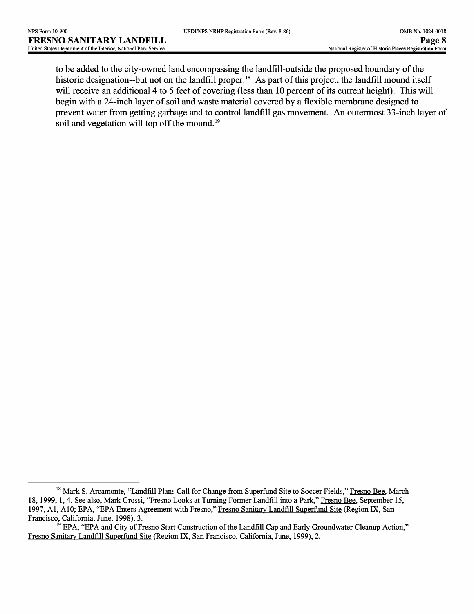to be added to the city-owned land encompassing the landfill-outside the proposed boundary of the historic designation-but not on the landfill proper.<sup>18</sup> As part of this project, the landfill mound itself will receive an additional 4 to 5 feet of covering (less than 10 percent of its current height). This will begin with a 24-inch layer of soil and waste material covered by a flexible membrane designed to prevent water from getting garbage and to control landfill gas movement. An outermost 33-inch layer of soil and vegetation will top off the mound.<sup>19</sup>

<sup>&</sup>lt;sup>18</sup> Mark S. Arcamonte, "Landfill Plans Call for Change from Superfund Site to Soccer Fields," Fresno Bee, March 18, 1999, 1, 4. See also, Mark Grossi, "Fresno Looks at Turning Former Landfill into a Park," Fresno Bee, September 15, 1997, Al, A10; EPA, "EPA Enters Agreement with Fresno," Fresno Sanitary Landfill Superfund Site (Region IX, San Francisco, California, June, 1998), 3.

 $<sup>19</sup>$  EPA, "EPA and City of Fresno Start Construction of the Landfill Cap and Early Groundwater Cleanup Action,"</sup> Fresno Sanitary Landfill Superfund Site (Region IX, San Francisco, California, June, 1999), 2.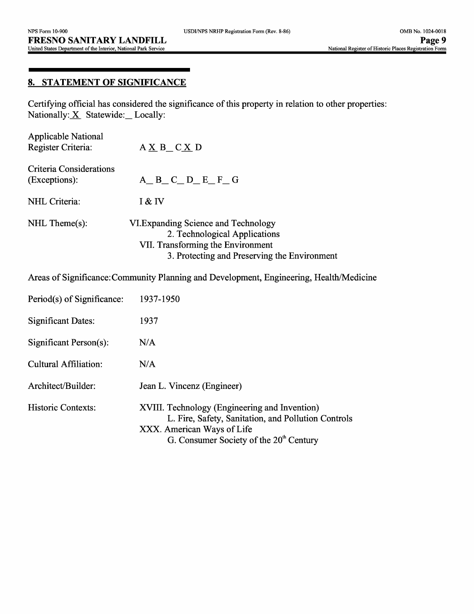### **8. STATEMENT OF SIGNIFICANCE**

Certifying official has considered the significance of this property in relation to other properties: Nationally:  $X$  Statewide: Locally:

| <b>Applicable National</b><br>Register Criteria: | $A \underline{X} B_C \underline{X} D$                                                                                                                      |
|--------------------------------------------------|------------------------------------------------------------------------------------------------------------------------------------------------------------|
| Criteria Considerations<br>(Exceptions):         | $A$ <sub>D</sub> $C$ <sub>D</sub> $E$ <sup>F</sup> <sub>G</sub> <sup>G</sup>                                                                               |
| NHL Criteria:                                    | I & IV                                                                                                                                                     |
| $NHL$ Theme $(s)$ :                              | VI. Expanding Science and Technology<br>2. Technological Applications<br>VII. Transforming the Environment<br>3. Protecting and Preserving the Environment |

Areas of Significance: Community Planning and Development, Engineering, Health/Medicine

| Period(s) of Significance: | 1937-1950                                                                                                                                                                       |
|----------------------------|---------------------------------------------------------------------------------------------------------------------------------------------------------------------------------|
| <b>Significant Dates:</b>  | 1937                                                                                                                                                                            |
| Significant Person(s):     | N/A                                                                                                                                                                             |
| Cultural Affiliation:      | N/A                                                                                                                                                                             |
| Architect/Builder:         | Jean L. Vincenz (Engineer)                                                                                                                                                      |
| Historic Contexts:         | XVIII. Technology (Engineering and Invention)<br>L. Fire, Safety, Sanitation, and Pollution Controls<br>XXX. American Ways of Life<br>G. Consumer Society of the $20th$ Century |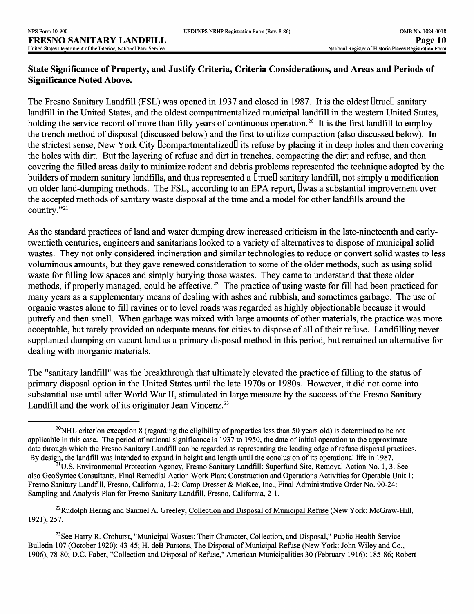### **State Significance of Property, and Justify Criteria, Criteria Considerations, and Areas and Periods of Significance Noted Above.**

The Fresno Sanitary Landfill (FSL) was opened in 1937 and closed in 1987. It is the oldest DtrueD sanitary landfill in the United States, and the oldest compartmentalized municipal landfill in the western United States, holding the service record of more than fifty years of continuous operation.<sup>20</sup> It is the first landfill to employ the trench method of disposal (discussed below) and the first to utilize compaction (also discussed below). In the strictest sense, New York City DcompartmentalizedD its refuse by placing it in deep holes and then covering the holes with dirt. But the layering of refuse and dirt in trenches, compacting the dirt and refuse, and then covering the filled areas daily to minimize rodent and debris problems represented the technique adopted by the builders of modern sanitary landfills, and thus represented a  $\text{It}$  anitary landfill, not simply a modification on older land-dumping methods. The FSL, according to an EPA report, Dwas a substantial improvement over the accepted methods of sanitary waste disposal at the time and a model for other landfills around the country."<sup>21</sup>

As the standard practices of land and water dumping drew increased criticism in the late-nineteenth and earlytwentieth centuries, engineers and sanitarians looked to a variety of alternatives to dispose of municipal solid wastes. They not only considered incineration and similar technologies to reduce or convert solid wastes to less voluminous amounts, but they gave renewed consideration to some of the older methods, such as using solid waste for filling low spaces and simply burying those wastes. They came to understand that these older methods, if properly managed, could be effective.<sup>22</sup> The practice of using waste for fill had been practiced for many years as a supplementary means of dealing with ashes and rubbish, and sometimes garbage. The use of organic wastes alone to fill ravines or to level roads was regarded as highly objectionable because it would putrefy and then smell. When garbage was mixed with large amounts of other materials, the practice was more acceptable, but rarely provided an adequate means for cities to dispose of all of their refuse. Landfilling never supplanted dumping on vacant land as a primary disposal method in this period, but remained an alternative for dealing with inorganic materials.

The "sanitary landfill" was the breakthrough that ultimately elevated the practice of filling to the status of primary disposal option in the United States until the late 1970s or 1980s. However, it did not come into substantial use until after World War II, stimulated in large measure by the success of the Fresno Sanitary Landfill and the work of its originator Jean Vincenz.<sup>23</sup>

<sup>23</sup>See Harry R. Crohurst, "Municipal Wastes: Their Character, Collection, and Disposal," Public Health Service Bulletin 107 (October 1920): 43-45; H. deB Parsons, The Disposal of Municipal Refuse (New York: John Wiley and Co., 1906), 78-80; D.C. Faber, "Collection and Disposal of Refuse," American Municipalities 30 (February 1916): 185-86; Robert

 $20$ NHL criterion exception 8 (regarding the eligibility of properties less than 50 years old) is determined to be not applicable in this case. The period of national significance is 1937 to 1950, the date of initial operation to the approximate date through which the Fresno Sanitary Landfill can be regarded as representing the leading edge of refuse disposal practices. By design, the landfill was intended to expand in height and length until the conclusion of its operational life in 1987.

<sup>&</sup>lt;sup>21</sup>U.S. Environmental Protection Agency, Fresno Sanitary Landfill: Superfund Site, Removal Action No. 1, 3. See also GeoSyntec Consultants, Final Remedial Action Work Plan: Construction and Operations Activities for Operable Unit 1: Fresno Sanitary Landfill, Fresno, California, 1-2; Camp Dresser & McKee, Inc., Final Administrative Order No. 90-24: Sampling and Analysis Plan for Fresno Sanitary Landfill, Fresno, California, 2-1.

 $^{22}$ Rudolph Hering and Samuel A. Greeley, Collection and Disposal of Municipal Refuse (New York: McGraw-Hill, 1921), 257.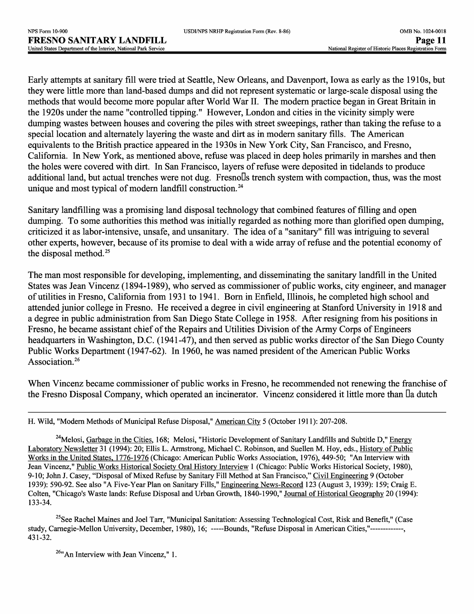Early attempts at sanitary fill were tried at Seattle, New Orleans, and Davenport, Iowa as early as the 1910s, but they were little more than land-based dumps and did not represent systematic or large-scale disposal using the methods that would become more popular after World War II. The modern practice began in Great Britain in the 1920s under the name "controlled tipping." However, London and cities in the vicinity simply were dumping wastes between houses and covering the piles with street sweepings, rather than taking the refuse to a special location and alternately layering the waste and dirt as in modern sanitary fills. The American equivalents to the British practice appeared in the 1930s in New York City, San Francisco, and Fresno, California. In New York, as mentioned above, refuse was placed in deep holes primarily in marshes and then the holes were covered with dirt. In San Francisco, layers of refuse were deposited in tidelands to produce additional land, but actual trenches were not dug. Fresnolls trench system with compaction, thus, was the most unique and most typical of modern landfill construction.<sup>24</sup>

Sanitary landfilling was a promising land disposal technology that combined features of filling and open dumping. To some authorities this method was initially regarded as nothing more than glorified open dumping, criticized it as labor-intensive, unsafe, and unsanitary. The idea of a "sanitary" fill was intriguing to several other experts, however, because of its promise to deal with a wide array of refuse and the potential economy of the disposal method.<sup>25</sup>

The man most responsible for developing, implementing, and disseminating the sanitary landfill in the United States was Jean Vincenz (1894-1989), who served as commissioner of public works, city engineer, and manager of utilities in Fresno, California from 1931 to 1941. Born in Enfield, Illinois, he completed high school and attended junior college in Fresno. He received a degree in civil engineering at Stanford University in 1918 and a degree in public administration from San Diego State College in 1958. After resigning from his positions in Fresno, he became assistant chief of the Repairs and Utilities Division of the Army Corps of Engineers headquarters in Washington, D.C. (1941-47), and then served as public works director of the San Diego County Public Works Department (1947-62). In 1960, he was named president of the American Public Works Association.<sup>26</sup>

When Vincenz became commissioner of public works in Fresno, he recommended not renewing the franchise of the Fresno Disposal Company, which operated an incinerator. Vincenz considered it little more than Da dutch

<sup>25</sup>See Rachel Maines and Joel Tarr, "Municipal Sanitation: Assessing Technological Cost, Risk and Benefit," (Case study, Carnegie-Mellon University, December, 1980), 16; ----Bounds, "Refuse Disposal in American Cities,"------------, 431-32.

 $^{26}$ "An Interview with Jean Vincenz," 1.

H. Wild, "Modern Methods of Municipal Refuse Disposal," American City 5 (October 1911): 207-208.

<sup>&</sup>lt;sup>24</sup>Melosi, Garbage in the Cities, 168; Melosi, "Historic Development of Sanitary Landfills and Subtitle D," Energy Laboratory Newsletter 31 (1994): 20; Ellis L. Armstrong, Michael C. Robinson, and Suellen M. Hoy, eds., History of Public Works in the United States. 1776-1976 (Chicago: American Public Works Association, 1976), 449-50; "An Interview with Jean Vincenz," Public Works Historical Society Oral History Interview 1 (Chicago: Public Works Historical Society, 1980), 9-10; John J. Casey, "Disposal of Mixed Refuse by Sanitary Fill Method at San Francisco," Civil Engineering 9 (October 1939): 590-92. See also "A Five-Year Plan on Sanitary Fills," Engineering News-Record 123 (August 3, 1939): 159; Craig E. Colten, "Chicago's Waste lands: Refuse Disposal and Urban Growth, 1840-1990," Journal of Historical Geography 20 (1994): 133-34.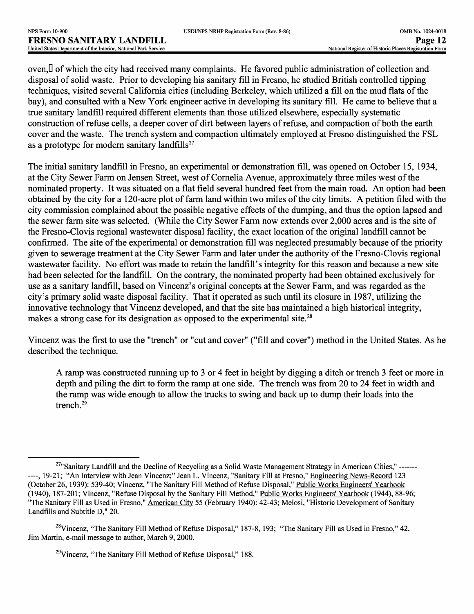oven,D of which the city had received many complaints. He favored public administration of collection and disposal of solid waste. Prior to developing his sanitary fill in Fresno, he studied British controlled tipping techniques, visited several California cities (including Berkeley, which utilized a fill on the mud flats of the bay), and consulted with a New York engineer active in developing its sanitary fill. He came to believe that a true sanitary landfill required different elements than those utilized elsewhere, especially systematic construction of refuse cells, a deeper cover of dirt between layers of refuse, and compaction of both the earth cover and the waste. The trench system and compaction ultimately employed at Fresno distinguished the FSL as a prototype for modern sanitary landfills $^{27}$ 

The initial sanitary landfill in Fresno, an experimental or demonstration fill, was opened on October 15, 1934, at the City Sewer Farm on Jensen Street, west of Cornelia Avenue, approximately three miles west of the nominated property. It was situated on a flat field several hundred feet from the main road. An option had been obtained by the city for a 120-acre plot of farm land within two miles of the city limits. A petition filed with the city commission complained about the possible negative effects of the dumping, and thus the option lapsed and the sewer farm site was selected. (While the City Sewer Farm now extends over 2,000 acres and is the site of the Fresno-Clovis regional wastewater disposal facility, the exact location of the original landfill cannot be confirmed. The site of the experimental or demonstration fill was neglected presumably because of the priority given to sewerage treatment at the City Sewer Farm and later under the authority of the Fresno-Clovis regional wastewater facility. No effort was made to retain the landfill's integrity for this reason and because a new site had been selected for the landfill. On the contrary, the nominated property had been obtained exclusively for use as a sanitary landfill, based on Vincenz's original concepts at the Sewer Farm, and was regarded as the city's primary solid waste disposal facility. That it operated as such until its closure in 1987, utilizing the innovative technology that Vincenz developed, and that the site has maintained a high historical integrity, makes a strong case for its designation as opposed to the experimental site.<sup>28</sup>

Vincenz was the first to use the "trench" or "cut and cover" ("fill and cover") method in the United States. As he described the technique.

A ramp was constructed running up to 3 or 4 feet in height by digging a ditch or trench 3 feet or more in depth and piling the dirt to form the ramp at one side. The trench was from 20 to 24 feet in width and the ramp was wide enough to allow the trucks to swing and back up to dump their loads into the trench.<sup>29</sup>

<sup>&</sup>lt;sup>27</sup>"Sanitary Landfill and the Decline of Recycling as a Solid Waste Management Strategy in American Cities," ----------, 19-21; "An Interview with Jean Vincenz;" Jean L. Vincenz, "Sanitary Fill at Fresno," Engineering News-Record 123 (October 26, 1939): 539-40; Vincenz, "The Sanitary Fill Method of Refuse Disposal," Public Works Engineers' Yearbook (1940), 187-201; Vincenz, "Refuse Disposal by the Sanitary Fill Method," Public Works Engineers' Yearbook (1944), 88-96; "The Sanitary Fill as Used in Fresno," American City 55 (February 1940): 42-43; Melosi, "Historic Development of Sanitary Landfills and Subtitle D," 20.

<sup>&</sup>lt;sup>28</sup>Vincenz, "The Sanitary Fill Method of Refuse Disposal," 187-8, 193; "The Sanitary Fill as Used in Fresno," 42. Jim Martin, e-mail message to author, March 9, 2000.

 $29$ Vincenz, "The Sanitary Fill Method of Refuse Disposal," 188.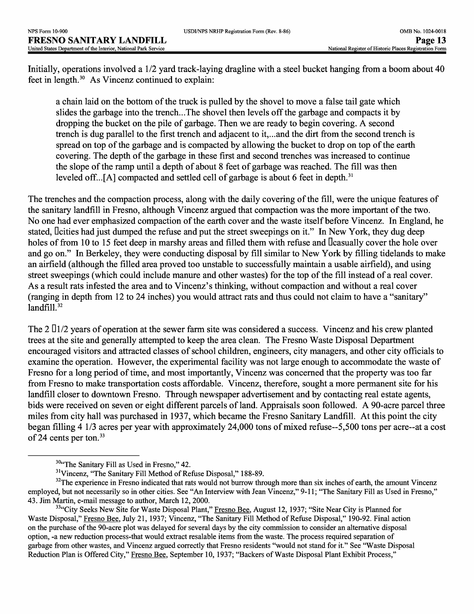Initially, operations involved a 1/2 yard track-laying dragline with a steel bucket hanging from a boom about 40 feet in length. 30 As Vincenz continued to explain:

a chain laid on the bottom of the truck is pulled by the shovel to move a false tail gate which slides the garbage into the trench...The shovel then levels off the garbage and compacts it by dropping the bucket on the pile of garbage. Then we are ready to begin covering. A second trench is dug parallel to the first trench and adjacent to it,...and the dirt from the second trench is spread on top of the garbage and is compacted by allowing the bucket to drop on top of the earth covering. The depth of the garbage in these first and second trenches was increased to continue the slope of the ramp until a depth of about 8 feet of garbage was reached. The fill was then leveled off...[A] compacted and settled cell of garbage is about 6 feet in depth.<sup>31</sup>

The trenches and the compaction process, along with the daily covering of the fill, were the unique features of the sanitary landfill in Fresno, although Vincenz argued that compaction was the more important of the two. No one had ever emphasized compaction of the earth cover and the waste itself before Vincenz. In England, he stated, Deities had just dumped the refuse and put the street sweepings on it." In New York, they dug deep holes of from 10 to 15 feet deep in marshy areas and filled them with refuse and Deasually cover the hole over and go on." In Berkeley, they were conducting disposal by fill similar to New York by filling tidelands to make an airfield (although the filled area proved too unstable to successfully maintain a usable airfield), and using street sweepings (which could include manure and other wastes) for the top of the fill instead of a real cover. As a result rats infested the area and to Vincenz's thinking, without compaction and without a real cover (ranging in depth from *12 to 24* inches) you would attract rats and thus could not claim to have a "sanitary"  $landfill.<sup>32</sup>$ 

The 2  $\ln 2$  years of operation at the sewer farm site was considered a success. Vincenz and his crew planted trees at the site and generally attempted to keep the area clean. The Fresno Waste Disposal Department encouraged visitors and attracted classes of school children, engineers, city managers, and other city officials to examine the operation. However, the experimental facility was not large enough to accommodate the waste of Fresno for a long period of time, and most importantly, Vincenz was concerned that the property was too far from Fresno to make transportation costs affordable. Vincenz, therefore, sought a more permanent site for his landfill closer to downtown Fresno. Through newspaper advertisement and by contacting real estate agents, bids were received on seven or eight different parcels of land. Appraisals soon followed. A 90-acre parcel three miles from city hall was purchased in 1937, which became the Fresno Sanitary Landfill. At this point the city began filling 4 1/3 acres per year with approximately 24,000 tons of mixed refuse~5,500 tons per acre—at a cost of 24 cents per ton. <sup>33</sup>

 $30$ "The Sanitary Fill as Used in Fresno," 42.

<sup>&</sup>lt;sup>31</sup>Vincenz, "The Sanitary Fill Method of Refuse Disposal," 188-89.

<sup>&</sup>lt;sup>32</sup>The experience in Fresno indicated that rats would not burrow through more than six inches of earth, the amount Vincenz employed, but not necessarily so in other cities. See "An Interview with Jean Vincenz," 9-11; "The Sanitary Fill as Used in Fresno," 43. Jim Martin, e-mail message to author, March 12, 2000.

<sup>&</sup>lt;sup>33</sup>"City Seeks New Site for Waste Disposal Plant," Fresno Bee, August 12, 1937; "Site Near City is Planned for Waste Disposal," Fresno Bee. July 21, 1937; Vincenz, "The Sanitary Fill Method of Refuse Disposal," 190-92. Final action on the purchase of the 90-acre plot was delayed for several days by the city commission to consider an alternative disposal option, -a new reduction process-that would extract resalable items from the waste. The process required separation of garbage from other wastes, and Vincenz argued correctly that Fresno residents "would not stand for it." See "Waste Disposal Reduction Plan is Offered City," Fresno Bee, September 10, 1937; "Backers of Waste Disposal Plant Exhibit Process,"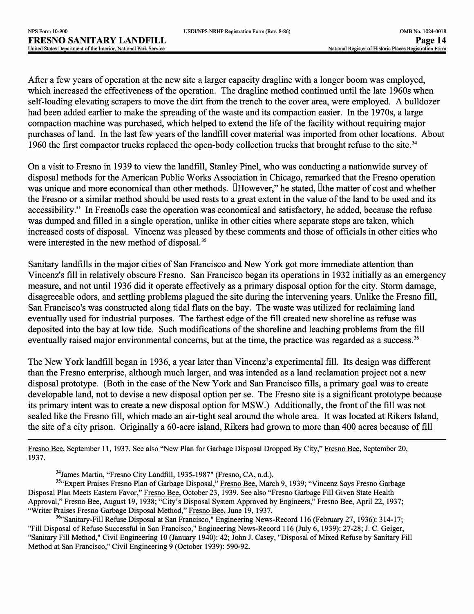After a few years of operation at the new site a larger capacity dragline with a longer boom was employed, which increased the effectiveness of the operation. The dragline method continued until the late 1960s when self-loading elevating scrapers to move the dirt from the trench to the cover area, were employed. A bulldozer had been added earlier to make the spreading of the waste and its compaction easier. In the 1970s, a large compaction machine was purchased, which helped to extend the life of the facility without requiring major purchases of land. In the last few years of the landfill cover material was imported from other locations. About 1960 the first compactor trucks replaced the open-body collection trucks that brought refuse to the site. <sup>34</sup>

On a visit to Fresno in 1939 to view the landfill, Stanley Pinel, who was conducting a nationwide survey of disposal methods for the American Public Works Association in Chicago, remarked that the Fresno operation was unique and more economical than other methods. **DHowever**," he stated, Dthe matter of cost and whether the Fresno or a similar method should be used rests to a great extent in the value of the land to be used and its accessibility." In FresnoDs case the operation was economical and satisfactory, he added, because the refuse was dumped and filled in a single operation, unlike in other cities where separate steps are taken, which increased costs of disposal. Vincenz was pleased by these comments and those of officials in other cities who were interested in the new method of disposal.<sup>35</sup>

Sanitary landfills in the major cities of San Francisco and New York got more immediate attention than Vincenz's fill in relatively obscure Fresno. San Francisco began its operations in 1932 initially as an emergency measure, and not until 1936 did it operate effectively as a primary disposal option for the city. Storm damage, disagreeable odors, and settling problems plagued the site during the intervening years. Unlike the Fresno fill, San Francisco's was constructed along tidal flats on the bay. The waste was utilized for reclaiming land eventually used for industrial purposes. The farthest edge of the fill created new shoreline as refuse was deposited into the bay at low tide. Such modifications of the shoreline and leaching problems from the fill eventually raised major environmental concerns, but at the time, the practice was regarded as a success.<sup>36</sup>

The New York landfill began in 1936, a year later than Vincenz's experimental fill. Its design was different than the Fresno enterprise, although much larger, and was intended as a land reclamation project not a new disposal prototype. (Both in the case of the New York and San Francisco fills, a primary goal was to create developable land, not to devise a new disposal option per se. The Fresno site is a significant prototype because its primary intent was to create a new disposal option for MSW.) Additionally, the front of the fill was not sealed like the Fresno fill, which made an air-tight seal around the whole area. It was located at Rikers Island, the site of a city prison. Originally a 60-acre island, Rikers had grown to more than 400 acres because of fill

Fresno Bee. September 11, 1937. See also "New Plan for Garbage Disposal Dropped By City," Fresno Bee. September 20, 1937.

34James Martin, "Fresno City Landfill, 1935-1987" (Fresno, CA, n.d.).

<sup>35</sup>"Expert Praises Fresno Plan of Garbage Disposal," Fresno Bee. March 9, 1939; "Vincenz Says Fresno Garbage Disposal Plan Meets Eastern Favor," Fresno Bee. October 23, 1939. See also "Fresno Garbage Fill Given State Health Approval," Fresno Bee, August 19, 1938; "City's Disposal System Approved by Engineers," Fresno Bee, April 22, 1937; "Writer Praises Fresno Garbage Disposal Method," Fresno Bee, June 19, 1937.

<sup>36</sup>"Sanitary-Fill Refuse Disposal at San Francisco," Engineering News-Record 116 (February 27, 1936): 314-17; "Fill Disposal of Refuse Successful in San Francisco," Engineering News-Record 116 (July 6, 1939): 27-28; J. C. Geiger, "Sanitary Fill Method," Civil Engineering 10 (January 1940): 42; John J. Casey, "Disposal of Mixed Refuse by Sanitary Fill Method at San Francisco," Civil Engineering 9 (October 1939): 590-92.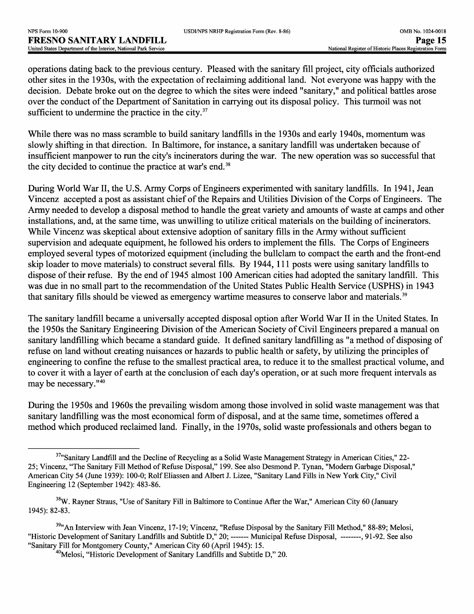operations dating back to the previous century. Pleased with the sanitary fill project, city officials authorized other sites in the 1930s, with the expectation of reclaiming additional land. Not everyone was happy with the decision. Debate broke out on the degree to which the sites were indeed "sanitary," and political battles arose over the conduct of the Department of Sanitation in carrying out its disposal policy. This turmoil was not sufficient to undermine the practice in the city. $37$ 

While there was no mass scramble to build sanitary landfills in the 1930s and early 1940s, momentum was slowly shifting in that direction. In Baltimore, for instance, a sanitary landfill was undertaken because of insufficient manpower to run the city's incinerators during the war. The new operation was so successful that the city decided to continue the practice at war's end.<sup>38</sup>

During World War II, the U.S. Army Corps of Engineers experimented with sanitary landfills. In 1941, Jean Vincenz accepted a post as assistant chief of the Repairs and Utilities Division of the Corps of Engineers. The Army needed to develop a disposal method to handle the great variety and amounts of waste at camps and other installations, and, at the same time, was unwilling to utilize critical materials on the building of incinerators. While Vincenz was skeptical about extensive adoption of sanitary fills in the Army without sufficient supervision and adequate equipment, he followed his orders to implement the fills. The Corps of Engineers employed several types of motorized equipment (including the bullclam to compact the earth and the front-end skip loader to move materials) to construct several fills. By 1944, 111 posts were using sanitary landfills to dispose of their refuse. By the end of 1945 almost 100 American cities had adopted the sanitary landfill. This was due in no small part to the recommendation of the United States Public Health Service (USPHS) in 1943 that sanitary fills should be viewed as emergency wartime measures to conserve labor and materials. <sup>39</sup>

The sanitary landfill became a universally accepted disposal option after World War II in the United States. In the 1950s the Sanitary Engineering Division of the American Society of Civil Engineers prepared a manual on sanitary landfilling which became a standard guide. It defined sanitary landfilling as "a method of disposing of refuse on land without creating nuisances or hazards to public health or safety, by utilizing the principles of engineering to confine the refuse to the smallest practical area, to reduce it to the smallest practical volume, and to cover it with a layer of earth at the conclusion of each day's operation, or at such more frequent intervals as may be necessary."<sup>40</sup>

During the 1950s and 1960s the prevailing wisdom among those involved in solid waste management was that sanitary landfilling was the most economical form of disposal, and at the same time, sometimes offered a method which produced reclaimed land. Finally, in the 1970s, solid waste professionals and others began to

<sup>&</sup>lt;sup>37</sup>"Sanitary Landfill and the Decline of Recycling as a Solid Waste Management Strategy in American Cities," 22-25; Vincenz, "The Sanitary Fill Method of Refuse Disposal," 199. See also Desmond P. Tynan, "Modern Garbage Disposal," American City 54 (June 1939): 100-0; Rolf Eliassen and Albert J. Lizee, "Sanitary Land Fills in New York City," Civil Engineering 12 (September 1942): 483-86.

<sup>&</sup>lt;sup>38</sup>W. Rayner Straus, "Use of Sanitary Fill in Baltimore to Continue After the War," American City 60 (January 1945): 82-83.

<sup>&</sup>lt;sup>39</sup>"An Interview with Jean Vincenz, 17-19; Vincenz, "Refuse Disposal by the Sanitary Fill Method," 88-89; Melosi, "Historic Development of Sanitary Landfills and Subtitle D," 20; ------- Municipal Refuse Disposal, --------, 91-92. See also "Sanitary Fill for Montgomery County," American City 60 (April 1945): 15.

 $40$ Melosi, "Historic Development of Sanitary Landfills and Subtitle D," 20.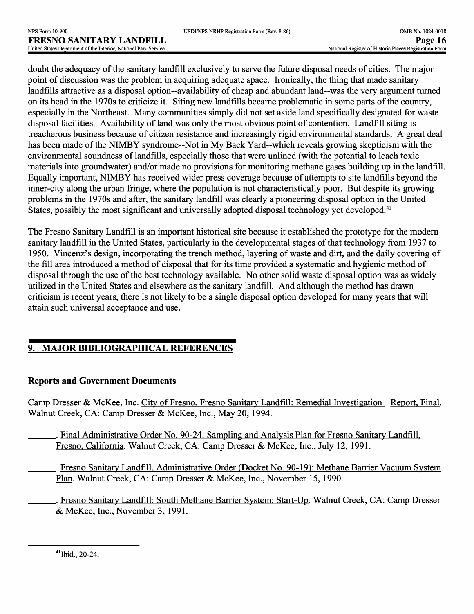doubt the adequacy of the sanitary landfill exclusively to serve the future disposal needs of cities. The major point of discussion was the problem in acquiring adequate space. Ironically, the thing that made sanitary landfills attractive as a disposal option--availability of cheap and abundant land--was the very argument turned on its head in the 1970s to criticize it. Siting new landfills became problematic in some parts of the country, especially in the Northeast. Many communities simply did not set aside land specifically designated for waste disposal facilities. Availability of land was only the most obvious point of contention. Landfill siting is treacherous business because of citizen resistance and increasingly rigid environmental standards. A great deal has been made of the NIMBY syndrome--Not in My Back Yard--which reveals growing skepticism with the environmental soundness of landfills, especially those that were unlined (with the potential to leach toxic materials into groundwater) and/or made no provisions for monitoring methane gases building up in the landfill. Equally important, NIMBY has received wider press coverage because of attempts to site landfills beyond the inner-city along the urban fringe, where the population is not characteristically poor. But despite its growing problems in the 1970s and after, the sanitary landfill was clearly a pioneering disposal option in the United States, possibly the most significant and universally adopted disposal technology yet developed.<sup>41</sup>

The Fresno Sanitary Landfill is an important historical site because it established the prototype for the modern sanitary landfill in the United States, particularly in the developmental stages of that technology from 1937 to 1950. Vincenz's design, incorporating the trench method, layering of waste and dirt, and the daily covering of the fill area introduced a method of disposal that for its time provided a systematic and hygienic method of disposal through the use of the best technology available. No other solid waste disposal option was as widely utilized in the United States and elsewhere as the sanitary landfill. And although the method has drawn criticism is recent years, there is not likely to be a single disposal option developed for many years that will attain such universal acceptance and use.

# **9. MAJOR BIBLIOGRAPHICAL REFERENCES**

## **Reports and Government Documents**

Camp Dresser & McKee, Inc. City of Fresno, Fresno Sanitary Landfill: Remedial Investigation Report, Final. Walnut Creek, CA: Camp Dresser & McKee, Inc., May 20, 1994.

- . Final Administrative Order No. 90-24: Sampling and Analysis Plan for Fresno Sanitary Landfill, Fresno, California. Walnut Creek, CA: Camp Dresser & McKee, Inc., July 12, 1991.
- \_\_\_\_. Fresno Sanitary Landfill, Administrative Order (Docket No. 90-19): Methane Barrier Vacuum System Plan. Walnut Creek, CA: Camp Dresser & McKee, Inc., November 15, 1990.
	- \_\_\_\_. Fresno Sanitary Landfill: South Methane Barrier System: Start-Up. Walnut Creek, CA: Camp Dresser & McKee, Inc., November 3, 1991.

 $41$  Ibid., 20-24.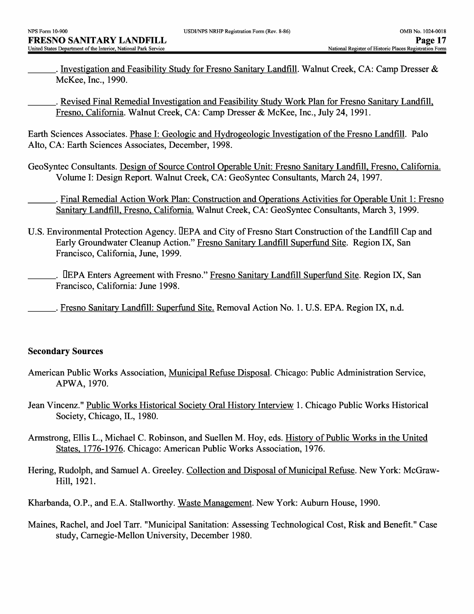. Investigation and Feasibility Study for Fresno Sanitary Landfill. Walnut Creek, CA: Camp Dresser & McKee, Inc., 1990.

. Revised Final Remedial Investigation and Feasibility Study Work Plan for Fresno Sanitary Landfill, Fresno, California. Walnut Creek, CA: Camp Dresser & McKee, Inc., July 24, 1991.

Earth Sciences Associates. Phase I: Geologic and Hydrogeologic Investigation of the Fresno Landfill. Palo Alto, CA: Earth Sciences Associates, December, 1998.

GeoSyntec Consultants. Design of Source Control Operable Unit: Fresno Sanitary Landfill, Fresno, California. Volume I: Design Report. Walnut Creek, CA: GeoSyntec Consultants, March 24, 1997.

\_\_\_\_. Final Remedial Action Work Plan: Construction and Operations Activities for Operable Unit 1: Fresno Sanitary Landfill, Fresno, California. Walnut Creek, CA: GeoSyntec Consultants, March 3, 1999.

- U.S. Environmental Protection Agency. DEPA and City of Fresno Start Construction of the Landfill Cap and Early Groundwater Cleanup Action." Fresno Sanitary Landfill Superfund Site. Region IX, San Francisco, California, June, 1999.
- \_\_\_\_. DEPA Enters Agreement with Fresno." Fresno Sanitary Landfill Superfund Site. Region IX, San Francisco, California: June 1998.

\_. Fresno Sanitary Landfill: Superfund Site. Removal Action No. 1. U.S. EPA. Region IX, n.d.

### **Secondary Sources**

- American Public Works Association, Municipal Refuse Disposal. Chicago: Public Administration Service, APWA, 1970.
- Jean Vincenz." Public Works Historical Society Oral History Interview 1. Chicago Public Works Historical Society, Chicago, IL, 1980.
- Armstrong, Ellis L., Michael C. Robinson, and Suellen M. Hoy, eds. History of Public Works in the United States, 1776-1976. Chicago: American Public Works Association, 1976.
- Hering, Rudolph, and Samuel A. Greeley. Collection and Disposal of Municipal Refuse. New York: McGraw-Hill, 1921.

Kharbanda, O.P., and E.A. Stallworthy. Waste Management. New York: Auburn House, 1990.

Maines, Rachel, and Joel Tarr. "Municipal Sanitation: Assessing Technological Cost, Risk and Benefit." Case study, Camegie-Mellon University, December 1980.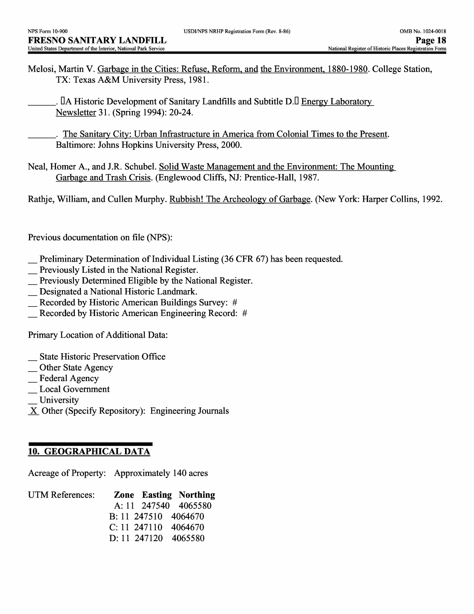Melosi, Martin V. Garbage in the Cities: Refuse, Reform, and the Environment, 1880-1980. College Station, TX: Texas A&M University Press, 1981.

. IA Historic Development of Sanitary Landfills and Subtitle D.I Energy Laboratory Newsletter 31. (Spring 1994): 20-24.

\_\_\_\_. The Sanitary City: Urban Infrastructure in America from Colonial Times to the Present. Baltimore: Johns Hopkins University Press, 2000.

Neal, Homer A., and J.R. Schubel. Solid Waste Management and the Environment: The Mounting Garbage and Trash Crisis. (Englewood Cliffs, NJ: Prentice-Hall, 1987.

Rathje, William, and Cullen Murphy. Rubbish! The Archeology of Garbage. (New York: Harper Collins, 1992.

Previous documentation on file (NPS):

- \_ Preliminary Determination of Individual Listing (36 CFR 67) has been requested.
- \_ Previously Listed in the National Register.
- \_ Previously Determined Eligible by the National Register.
- \_ Designated a National Historic Landmark.
- \_ Recorded by Historic American Buildings Survey: *#*
- **Recorded by Historic American Engineering Record: #**

Primary Location of Additional Data:

- \_ State Historic Preservation Office
- \_ Other State Agency
- \_ Federal Agency
- Local Government
- **University**
- X Other (Specify Repository): Engineering Journals

### **10. GEOGRAPHICAL DATA**

Acreage of Property: Approximately 140 acres

| UTM References: |                        | <b>Zone Easting Northing</b> |
|-----------------|------------------------|------------------------------|
|                 |                        | A: 11 247540 4065580         |
|                 | B: 11 247510 4064670   |                              |
|                 | $C: 11$ 247110 4064670 |                              |
|                 | D: 11 247120 4065580   |                              |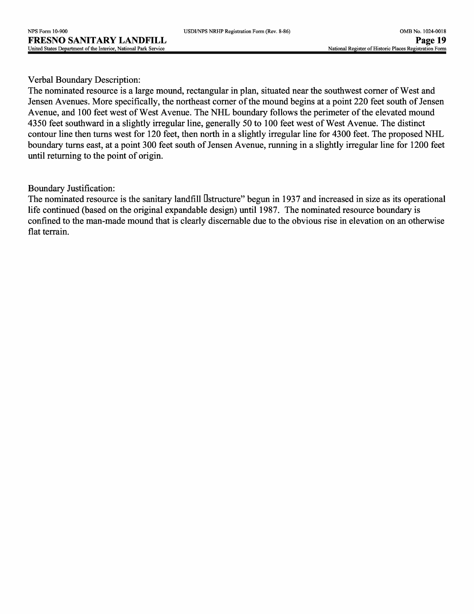| USDI/NPS NRHP Registration Form (Rev. 8-86) |  |  |  |
|---------------------------------------------|--|--|--|
|---------------------------------------------|--|--|--|

### Verbal Boundary Description:

The nominated resource is a large mound, rectangular in plan, situated near the southwest corner of West and Jensen Avenues. More specifically, the northeast corner of the mound begins at a point 220 feet south of Jensen Avenue, and 100 feet west of West Avenue. The NHL boundary follows the perimeter of the elevated mound 4350 feet southward in a slightly irregular line, generally 50 to 100 feet west of West Avenue. The distinct contour line then turns west for 120 feet, then north in a slightly irregular line for 4300 feet. The proposed NHL boundary turns east, at a point 300 feet south of Jensen Avenue, running in a slightly irregular line for 1200 feet until returning to the point of origin.

### Boundary Justification:

The nominated resource is the sanitary landfill Dstructure" begun in 1937 and increased in size as its operational life continued (based on the original expandable design) until 1987. The nominated resource boundary is confined to the man-made mound that is clearly discernable due to the obvious rise in elevation on an otherwise flat terrain.